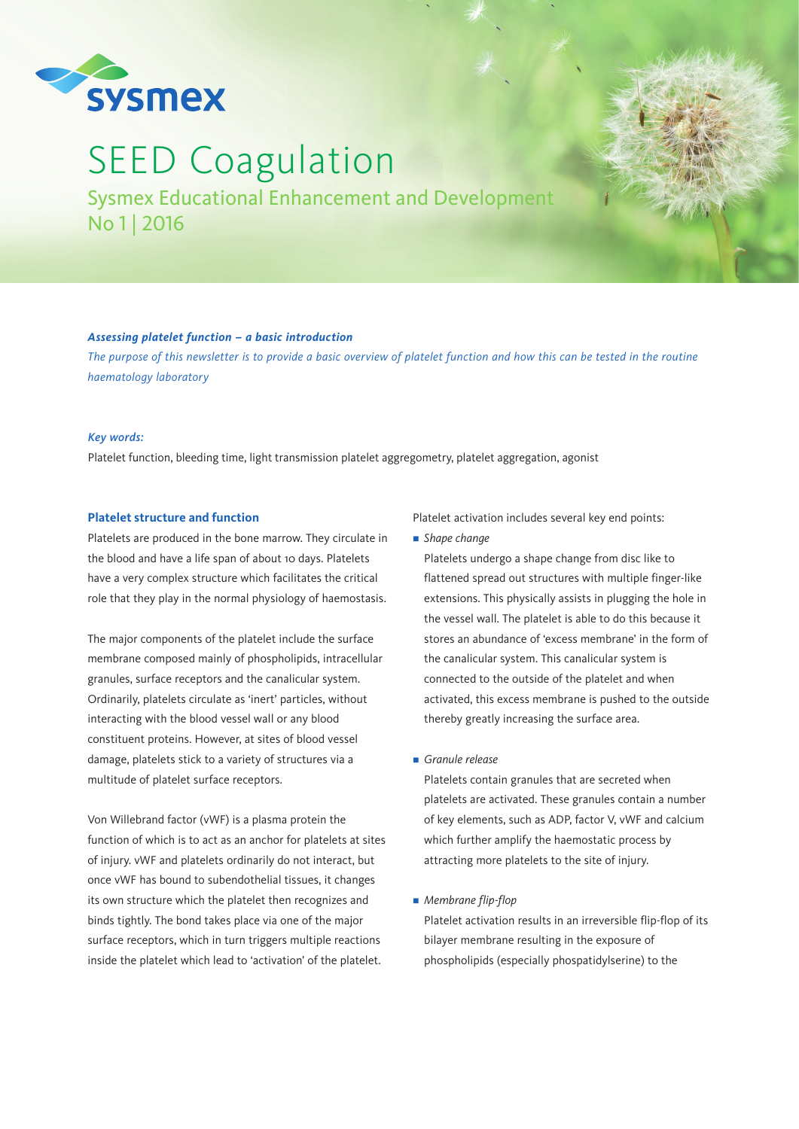

# SEED Coagulation

Sysmex Educational Enhancement and Development No 1 | 2016

# *Assessing platelet function – a basic introduction*

*The purpose of this newsletter is to provide a basic overview of platelet function and how this can be tested in the routine haematology laboratory*

# *Key words:*

Platelet function, bleeding time, light transmission platelet aggregometry, platelet aggregation, agonist

# **Platelet structure and function**

Platelets are produced in the bone marrow. They circulate in the blood and have a life span of about 10 days. Platelets have a very complex structure which facilitates the critical role that they play in the normal physiology of haemostasis.

The major components of the platelet include the surface membrane composed mainly of phospholipids, intracellular granules, surface receptors and the canalicular system. Ordinarily, platelets circulate as 'inert' particles, without interacting with the blood vessel wall or any blood constituent proteins. However, at sites of blood vessel damage, platelets stick to a variety of structures via a multitude of platelet surface receptors.

Von Willebrand factor (vWF) is a plasma protein the function of which is to act as an anchor for platelets at sites of injury. vWF and platelets ordinarily do not interact, but once vWF has bound to subendothelial tissues, it changes its own structure which the platelet then recognizes and binds tightly. The bond takes place via one of the major surface receptors, which in turn triggers multiple reactions inside the platelet which lead to 'activation' of the platelet.

Platelet activation includes several key end points:

■ *Shape change* 

Platelets undergo a shape change from disc like to flattened spread out structures with multiple finger-like extensions. This physically assists in plugging the hole in the vessel wall. The platelet is able to do this because it stores an abundance of 'excess membrane' in the form of the canalicular system. This canalicular system is connected to the outside of the platelet and when activated, this excess membrane is pushed to the outside thereby greatly increasing the surface area.

n *Granule release*

Platelets contain granules that are secreted when platelets are activated. These granules contain a number of key elements, such as ADP, factor V, vWF and calcium which further amplify the haemostatic process by attracting more platelets to the site of injury.

**n** *Membrane flip-flop* 

Platelet activation results in an irreversible flip-flop of its bilayer membrane resulting in the exposure of phospholipids (especially phospatidylserine) to the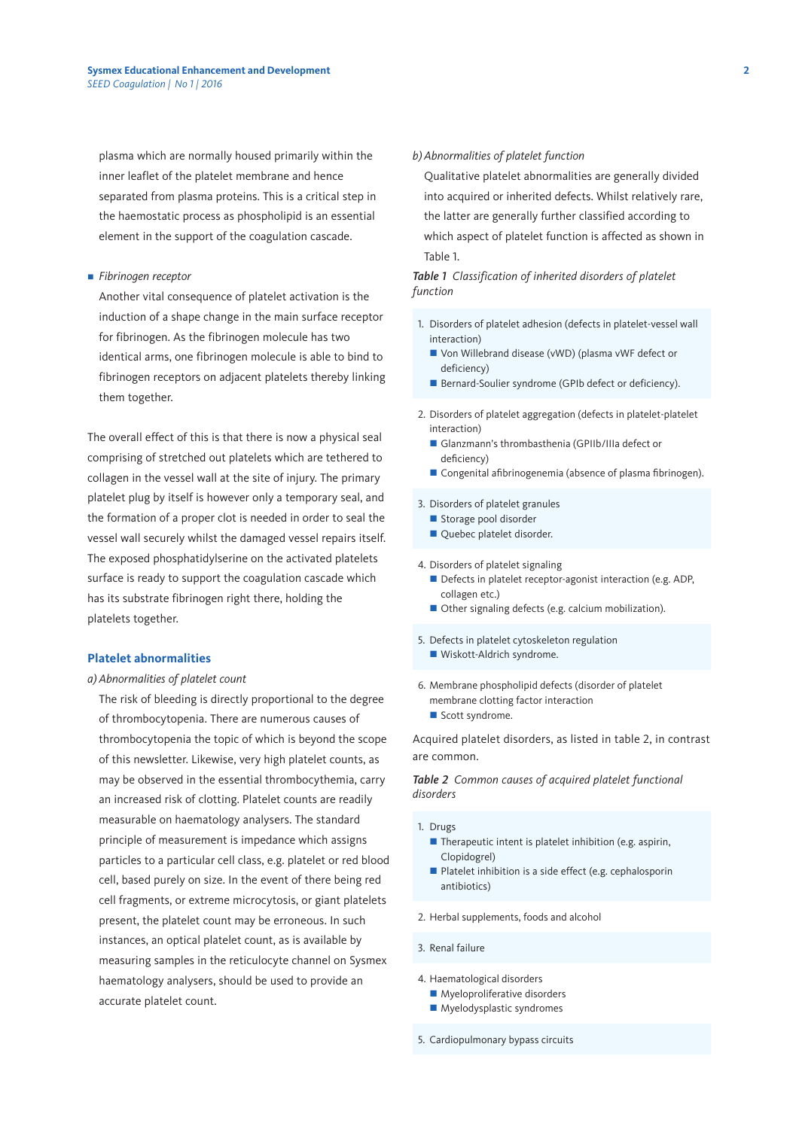plasma which are normally housed primarily within the inner leaflet of the platelet membrane and hence separated from plasma proteins. This is a critical step in the haemostatic process as phospholipid is an essential element in the support of the coagulation cascade.

#### **n** *Fibrinogen receptor*

Another vital consequence of platelet activation is the induction of a shape change in the main surface receptor for fibrinogen. As the fibrinogen molecule has two identical arms, one fibrinogen molecule is able to bind to fibrinogen receptors on adjacent platelets thereby linking them together.

The overall effect of this is that there is now a physical seal comprising of stretched out platelets which are tethered to collagen in the vessel wall at the site of injury. The primary platelet plug by itself is however only a temporary seal, and the formation of a proper clot is needed in order to seal the vessel wall securely whilst the damaged vessel repairs itself. The exposed phosphatidylserine on the activated platelets surface is ready to support the coagulation cascade which has its substrate fibrinogen right there, holding the platelets together.

#### **Platelet abnormalities**

#### *a) Abnormalities of platelet count*

The risk of bleeding is directly proportional to the degree of thrombocytopenia. There are numerous causes of thrombocytopenia the topic of which is beyond the scope of this newsletter. Likewise, very high platelet counts, as may be observed in the essential thrombocythemia, carry an increased risk of clotting. Platelet counts are readily measurable on haematology analysers. The standard principle of measurement is impedance which assigns particles to a particular cell class, e.g. platelet or red blood cell, based purely on size. In the event of there being red cell fragments, or extreme microcytosis, or giant platelets present, the platelet count may be erroneous. In such instances, an optical platelet count, as is available by measuring samples in the reticulocyte channel on Sysmex haematology analysers, should be used to provide an accurate platelet count.

### *b) Abnormalities of platelet function*

Qualitative platelet abnormalities are generally divided into acquired or inherited defects. Whilst relatively rare, the latter are generally further classified according to which aspect of platelet function is affected as shown in Table 1.

# *Table 1 Classification of inherited disorders of platelet function*

- 1. Disorders of platelet adhesion (defects in platelet-vessel wall interaction)
	- Von Willebrand disease (vWD) (plasma vWF defect or deficiency)
	- Bernard-Soulier syndrome (GPIb defect or deficiency).
- 2. Disorders of platelet aggregation (defects in platelet-platelet interaction)
	- Glanzmann's thrombasthenia (GPIIb/IIIa defect or deficiency)
	- $\blacksquare$  Congenital afibrinogenemia (absence of plasma fibrinogen).

#### 3. Disorders of platelet granules

- Storage pool disorder
- Quebec platelet disorder.

4. Disorders of platelet signaling

- Defects in platelet receptor-agonist interaction (e.g. ADP, collagen etc.)
- Other signaling defects (e.g. calcium mobilization).
- 5. Defects in platelet cytoskeleton regulation ■ Wiskott-Aldrich syndrome.
- 6. Membrane phospholipid defects (disorder of platelet membrane clotting factor interaction
	- Scott syndrome.

Acquired platelet disorders, as listed in table 2, in contrast are common.

*Table 2 Common causes of acquired platelet functional disorders*

#### 1. Drugs

- $\blacksquare$  Therapeutic intent is platelet inhibition (e.g. aspirin, Clopidogrel)
- Platelet inhibition is a side effect (e.g. cephalosporin antibiotics)
- 2. Herbal supplements, foods and alcohol
- 3. Renal failure
- 4. Haematological disorders
	- $\blacksquare$  Myeloproliferative disorders
	- $\blacksquare$  Myelodysplastic syndromes
- 5. Cardiopulmonary bypass circuits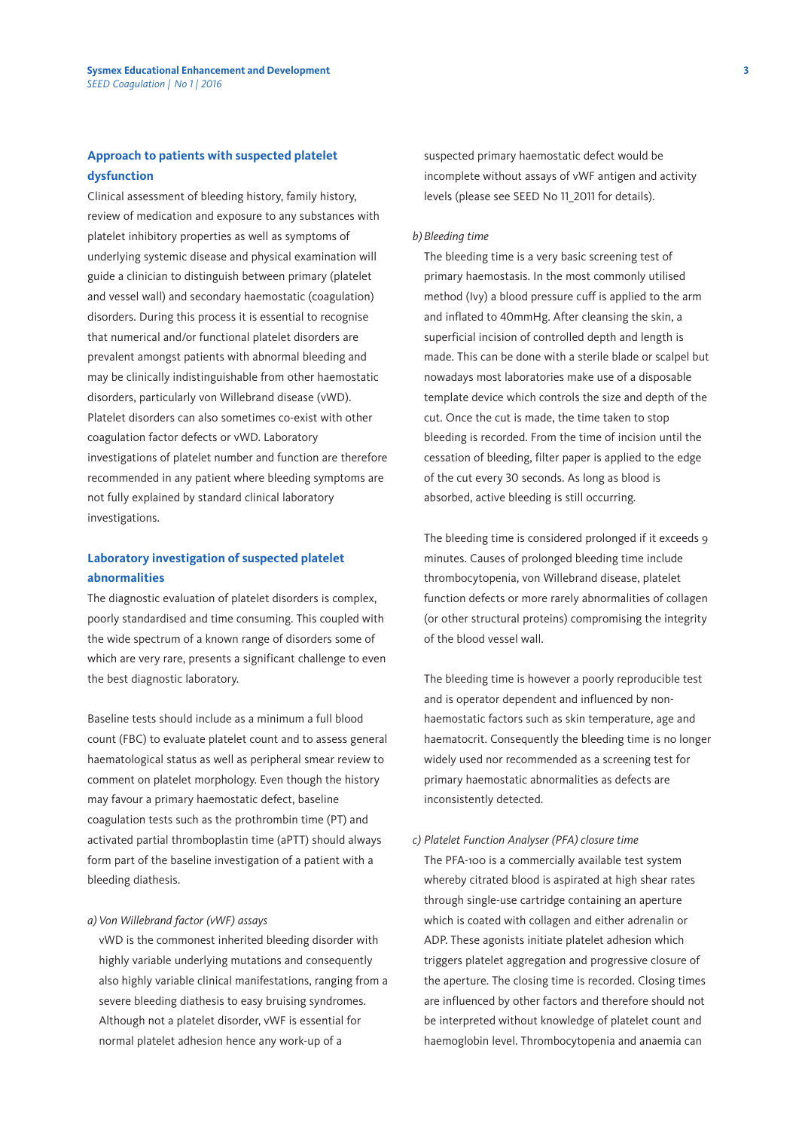# **Approach to patients with suspected platelet dysfunction**

Clinical assessment of bleeding history, family history, review of medication and exposure to any substances with platelet inhibitory properties as well as symptoms of underlying systemic disease and physical examination will guide a clinician to distinguish between primary (platelet and vessel wall) and secondary haemostatic (coagulation) disorders. During this process it is essential to recognise that numerical and/or functional platelet disorders are prevalent amongst patients with abnormal bleeding and may be clinically indistinguishable from other haemostatic disorders, particularly von Willebrand disease (vWD). Platelet disorders can also sometimes co-exist with other coagulation factor defects or vWD. Laboratory investigations of platelet number and function are therefore recommended in any patient where bleeding symptoms are not fully explained by standard clinical laboratory investigations.

# **Laboratory investigation of suspected platelet abnormalities**

The diagnostic evaluation of platelet disorders is complex, poorly standardised and time consuming. This coupled with the wide spectrum of a known range of disorders some of which are very rare, presents a significant challenge to even the best diagnostic laboratory.

Baseline tests should include as a minimum a full blood count (FBC) to evaluate platelet count and to assess general haematological status as well as peripheral smear review to comment on platelet morphology. Even though the history may favour a primary haemostatic defect, baseline coagulation tests such as the prothrombin time (PT) and activated partial thromboplastin time (aPTT) should always form part of the baseline investigation of a patient with a bleeding diathesis.

#### *a) Von Willebrand factor (vWF) assays*

vWD is the commonest inherited bleeding disorder with highly variable underlying mutations and consequently also highly variable clinical manifestations, ranging from a severe bleeding diathesis to easy bruising syndromes. Although not a platelet disorder, vWF is essential for normal platelet adhesion hence any work-up of a

suspected primary haemostatic defect would be incomplete without assays of vWF antigen and activity levels (please see SEED No 11\_2011 for details).

#### *b) Bleeding time*

The bleeding time is a very basic screening test of primary haemostasis. In the most commonly utilised method (Ivy) a blood pressure cuff is applied to the arm and inflated to 40mmHg. After cleansing the skin, a superficial incision of controlled depth and length is made. This can be done with a sterile blade or scalpel but nowadays most laboratories make use of a disposable template device which controls the size and depth of the cut. Once the cut is made, the time taken to stop bleeding is recorded. From the time of incision until the cessation of bleeding, filter paper is applied to the edge of the cut every 30 seconds. As long as blood is absorbed, active bleeding is still occurring.

The bleeding time is considered prolonged if it exceeds 9 minutes. Causes of prolonged bleeding time include thrombocytopenia, von Willebrand disease, platelet function defects or more rarely abnormalities of collagen (or other structural proteins) compromising the integrity of the blood vessel wall.

The bleeding time is however a poorly reproducible test and is operator dependent and influenced by nonhaemostatic factors such as skin temperature, age and haematocrit. Consequently the bleeding time is no longer widely used nor recommended as a screening test for primary haemostatic abnormalities as defects are inconsistently detected.

# *c) Platelet Function Analyser (PFA) closure time* The PFA-100 is a commercially available test system whereby citrated blood is aspirated at high shear rates through single-use cartridge containing an aperture which is coated with collagen and either adrenalin or ADP. These agonists initiate platelet adhesion which triggers platelet aggregation and progressive closure of the aperture. The closing time is recorded. Closing times are influenced by other factors and therefore should not be interpreted without knowledge of platelet count and haemoglobin level. Thrombocytopenia and anaemia can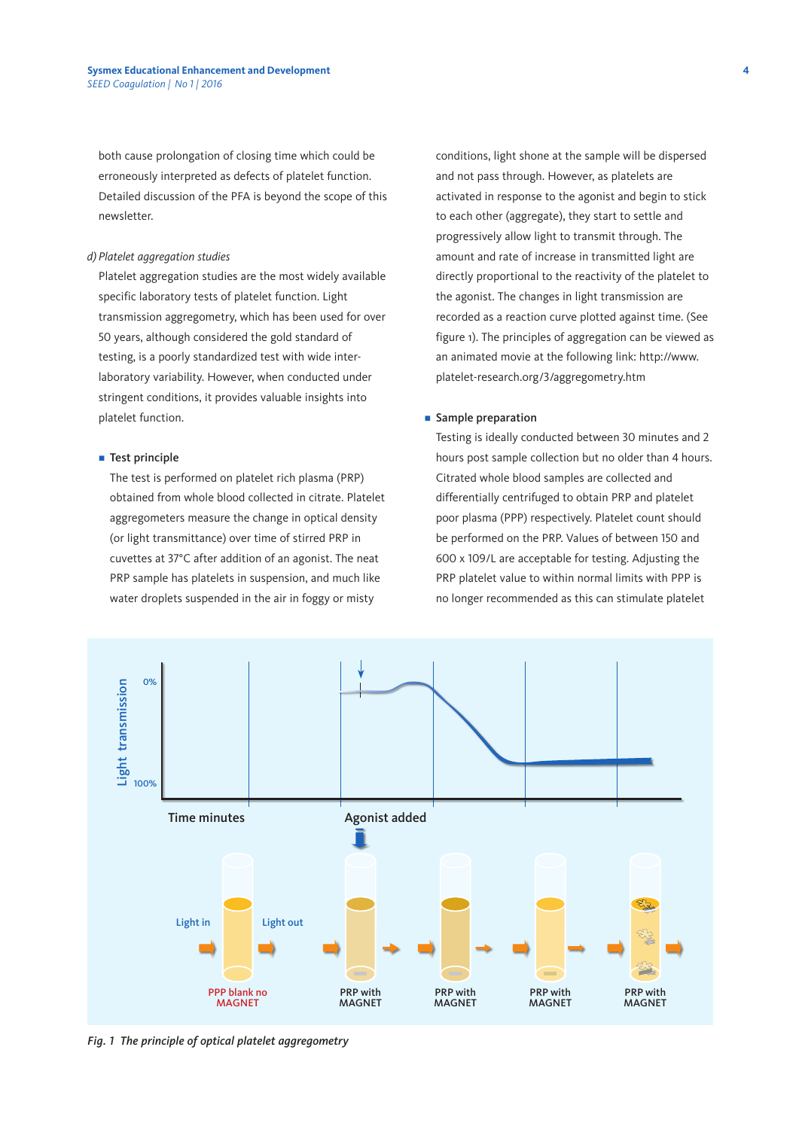both cause prolongation of closing time which could be erroneously interpreted as defects of platelet function. Detailed discussion of the PFA is beyond the scope of this newsletter.

## *d) Platelet aggregation studies*

Platelet aggregation studies are the most widely available specific laboratory tests of platelet function. Light transmission aggregometry, which has been used for over 50 years, although considered the gold standard of testing, is a poorly standardized test with wide interlaboratory variability. However, when conducted under stringent conditions, it provides valuable insights into platelet function.

#### $\blacksquare$  Test principle

 The test is performed on platelet rich plasma (PRP) obtained from whole blood collected in citrate. Platelet aggregometers measure the change in optical density (or light transmittance) over time of stirred PRP in cuvettes at 37°C after addition of an agonist. The neat PRP sample has platelets in suspension, and much like water droplets suspended in the air in foggy or misty

conditions, light shone at the sample will be dispersed and not pass through. However, as platelets are activated in response to the agonist and begin to stick to each other (aggregate), they start to settle and progressively allow light to transmit through. The amount and rate of increase in transmitted light are directly proportional to the reactivity of the platelet to the agonist. The changes in light transmission are recorded as a reaction curve plotted against time. (See figure 1). The principles of aggregation can be viewed as an animated movie at the following link: http://www. platelet-research.org/3/aggregometry.htm

#### **n** Sample preparation

 Testing is ideally conducted between 30 minutes and 2 hours post sample collection but no older than 4 hours. Citrated whole blood samples are collected and differentially centrifuged to obtain PRP and platelet poor plasma (PPP) respectively. Platelet count should be performed on the PRP. Values of between 150 and 600 x 109/L are acceptable for testing. Adjusting the PRP platelet value to within normal limits with PPP is no longer recommended as this can stimulate platelet



*Fig. 1 The principle of optical platelet aggregometry*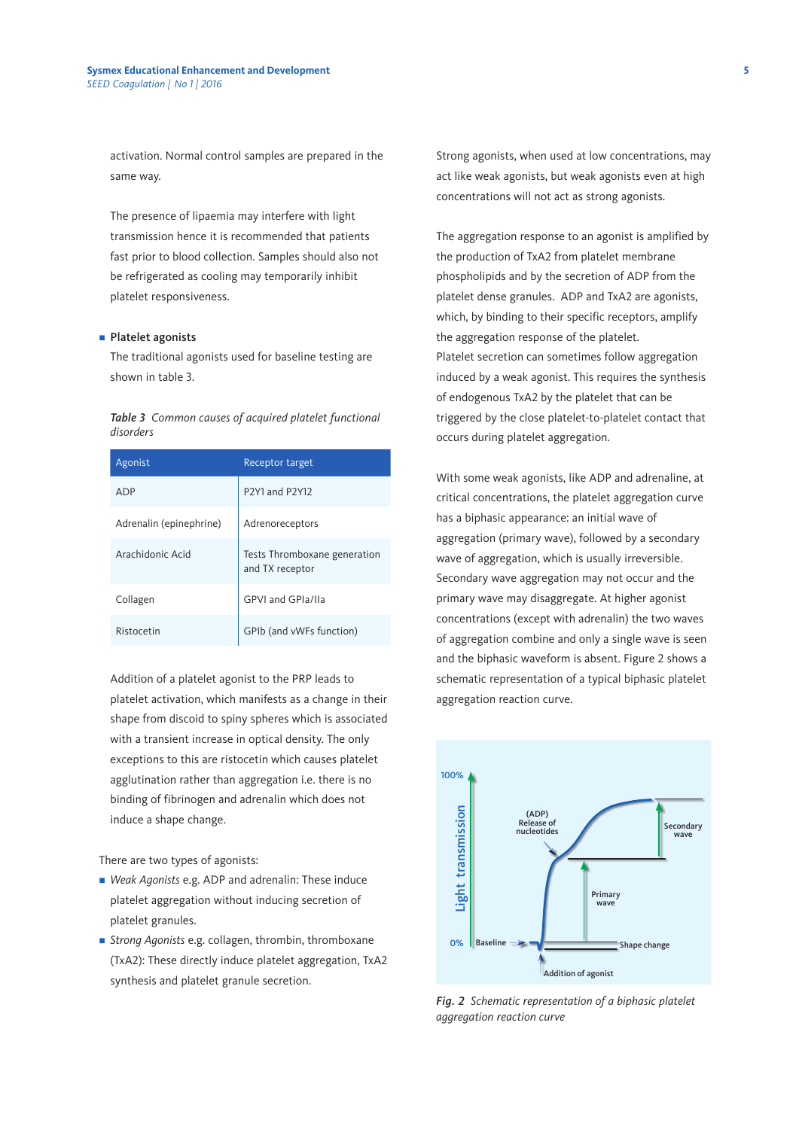activation. Normal control samples are prepared in the same way.

 The presence of lipaemia may interfere with light transmission hence it is recommended that patients fast prior to blood collection. Samples should also not be refrigerated as cooling may temporarily inhibit platelet responsiveness.

# ■ Platelet agonists

 The traditional agonists used for baseline testing are shown in table 3.

*Table 3 Common causes of acquired platelet functional disorders*

| Agonist                 | Receptor target                                                  |
|-------------------------|------------------------------------------------------------------|
| ADP                     | P <sub>2</sub> Y <sub>1</sub> and P <sub>2</sub> Y <sub>12</sub> |
| Adrenalin (epinephrine) | Adrenoreceptors                                                  |
| Arachidonic Acid        | Tests Thromboxane generation<br>and TX receptor                  |
| Collagen                | GPVI and GPIa/IIa                                                |
| Ristocetin              | GPIb (and vWFs function)                                         |

 Addition of a platelet agonist to the PRP leads to platelet activation, which manifests as a change in their shape from discoid to spiny spheres which is associated with a transient increase in optical density. The only exceptions to this are ristocetin which causes platelet agglutination rather than aggregation i.e. there is no binding of fibrinogen and adrenalin which does not induce a shape change.

There are two types of agonists:

- Weak Agonists e.g. ADP and adrenalin: These induce platelet aggregation without inducing secretion of platelet granules.
- n *Strong Agonists* e.g. collagen, thrombin, thromboxane (TxA2): These directly induce platelet aggregation, TxA2 synthesis and platelet granule secretion.

 Strong agonists, when used at low concentrations, may act like weak agonists, but weak agonists even at high concentrations will not act as strong agonists.

 The aggregation response to an agonist is amplified by the production of TxA2 from platelet membrane phospholipids and by the secretion of ADP from the platelet dense granules. ADP and TxA2 are agonists, which, by binding to their specific receptors, amplify the aggregation response of the platelet. Platelet secretion can sometimes follow aggregation induced by a weak agonist. This requires the synthesis of endogenous TxA2 by the platelet that can be triggered by the close platelet-to-platelet contact that occurs during platelet aggregation.

 With some weak agonists, like ADP and adrenaline, at critical concentrations, the platelet aggregation curve has a biphasic appearance: an initial wave of aggregation (primary wave), followed by a secondary wave of aggregation, which is usually irreversible. Secondary wave aggregation may not occur and the primary wave may disaggregate. At higher agonist concentrations (except with adrenalin) the two waves of aggregation combine and only a single wave is seen and the biphasic waveform is absent. Figure 2 shows a schematic representation of a typical biphasic platelet aggregation reaction curve.



*Fig. 2 Schematic representation of a biphasic platelet aggregation reaction curve*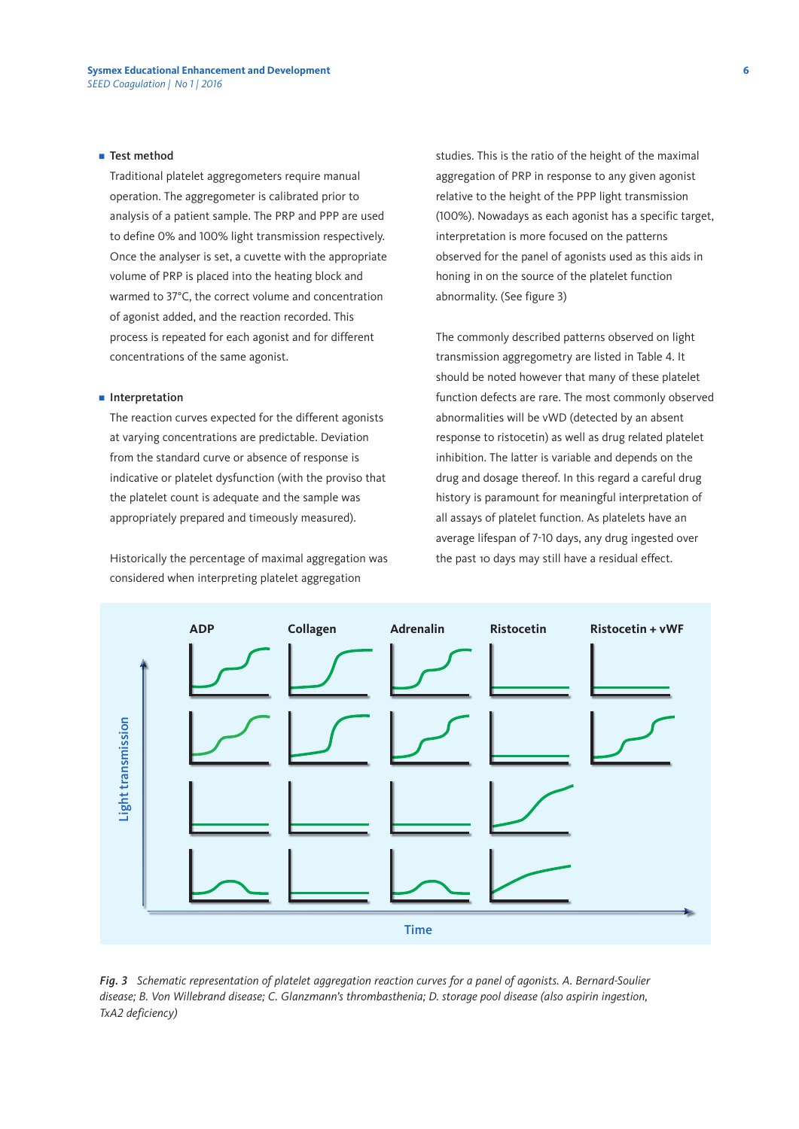# $\blacksquare$  Test method

 Traditional platelet aggregometers require manual operation. The aggregometer is calibrated prior to analysis of a patient sample. The PRP and PPP are used to define 0% and 100% light transmission respectively. Once the analyser is set, a cuvette with the appropriate volume of PRP is placed into the heating block and warmed to 37°C, the correct volume and concentration of agonist added, and the reaction recorded. This process is repeated for each agonist and for different concentrations of the same agonist.

#### **n** Interpretation

 The reaction curves expected for the different agonists at varying concentrations are predictable. Deviation from the standard curve or absence of response is indicative or platelet dysfunction (with the proviso that the platelet count is adequate and the sample was appropriately prepared and timeously measured).

 Historically the percentage of maximal aggregation was considered when interpreting platelet aggregation

studies. This is the ratio of the height of the maximal aggregation of PRP in response to any given agonist relative to the height of the PPP light transmission (100%). Nowadays as each agonist has a specific target, interpretation is more focused on the patterns observed for the panel of agonists used as this aids in honing in on the source of the platelet function abnormality. (See figure 3)

 The commonly described patterns observed on light transmission aggregometry are listed in Table 4. It should be noted however that many of these platelet function defects are rare. The most commonly observed abnormalities will be vWD (detected by an absent response to ristocetin) as well as drug related platelet inhibition. The latter is variable and depends on the drug and dosage thereof. In this regard a careful drug history is paramount for meaningful interpretation of all assays of platelet function. As platelets have an average lifespan of 7-10 days, any drug ingested over the past 10 days may still have a residual effect.



*Fig. 3 Schematic representation of platelet aggregation reaction curves for a panel of agonists. A. Bernard-Soulier disease; B. Von Willebrand disease; C. Glanzmann's thrombasthenia; D. storage pool disease (also aspirin ingestion,*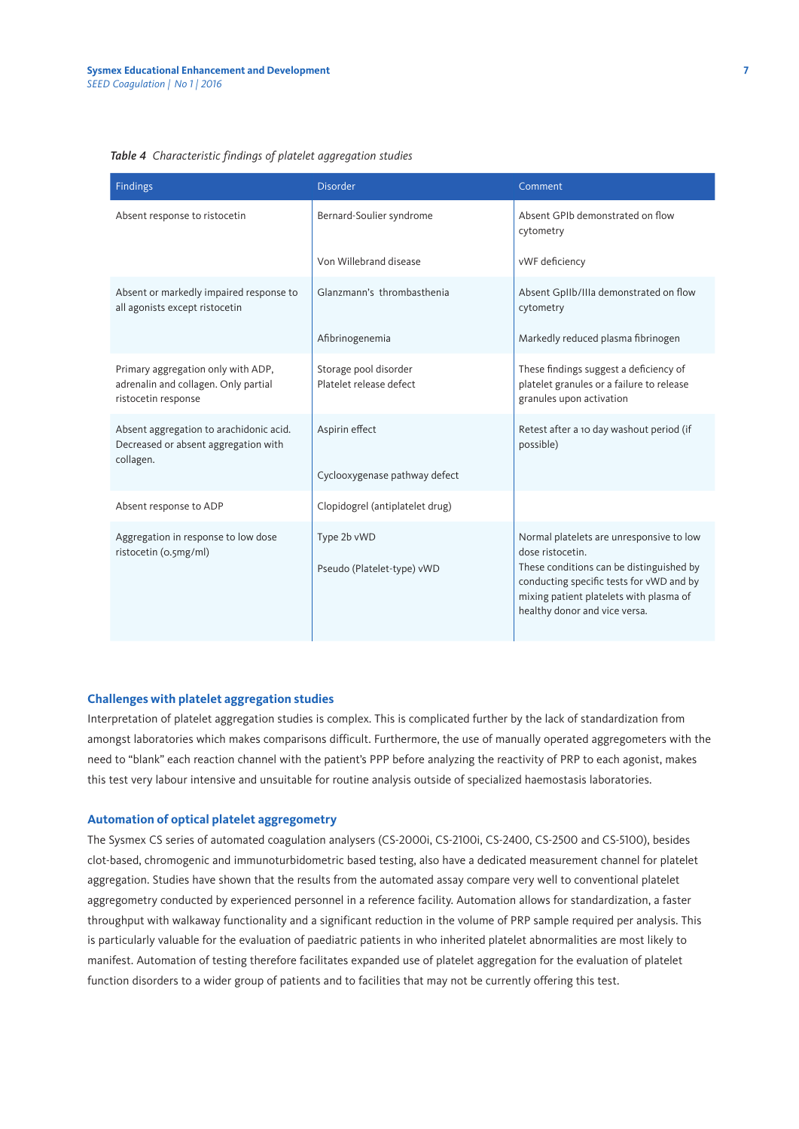## *Table 4 Characteristic findings of platelet aggregation studies*

| Findings                                                                                          | <b>Disorder</b>                                  | Comment                                                                                                                                                                                                                          |
|---------------------------------------------------------------------------------------------------|--------------------------------------------------|----------------------------------------------------------------------------------------------------------------------------------------------------------------------------------------------------------------------------------|
| Absent response to ristocetin                                                                     | Bernard-Soulier syndrome                         | Absent GPIb demonstrated on flow<br>cytometry                                                                                                                                                                                    |
|                                                                                                   | Von Willebrand disease                           | vWF deficiency                                                                                                                                                                                                                   |
| Absent or markedly impaired response to<br>all agonists except ristocetin                         | Glanzmann's thrombasthenia                       | Absent GpIIb/IIIa demonstrated on flow<br>cytometry                                                                                                                                                                              |
|                                                                                                   | Afibrinogenemia                                  | Markedly reduced plasma fibrinogen                                                                                                                                                                                               |
| Primary aggregation only with ADP,<br>adrenalin and collagen. Only partial<br>ristocetin response | Storage pool disorder<br>Platelet release defect | These findings suggest a deficiency of<br>platelet granules or a failure to release<br>granules upon activation                                                                                                                  |
| Absent aggregation to arachidonic acid.<br>Decreased or absent aggregation with<br>collagen.      | Aspirin effect                                   | Retest after a 10 day washout period (if<br>possible)                                                                                                                                                                            |
|                                                                                                   | Cyclooxygenase pathway defect                    |                                                                                                                                                                                                                                  |
| Absent response to ADP                                                                            | Clopidogrel (antiplatelet drug)                  |                                                                                                                                                                                                                                  |
| Aggregation in response to low dose<br>ristocetin (o.5mg/ml)                                      | Type 2b vWD<br>Pseudo (Platelet-type) vWD        | Normal platelets are unresponsive to low<br>dose ristocetin.<br>These conditions can be distinguished by<br>conducting specific tests for vWD and by<br>mixing patient platelets with plasma of<br>healthy donor and vice versa. |

# **Challenges with platelet aggregation studies**

Interpretation of platelet aggregation studies is complex. This is complicated further by the lack of standardization from amongst laboratories which makes comparisons difficult. Furthermore, the use of manually operated aggregometers with the need to "blank" each reaction channel with the patient's PPP before analyzing the reactivity of PRP to each agonist, makes this test very labour intensive and unsuitable for routine analysis outside of specialized haemostasis laboratories.

# **Automation of optical platelet aggregometry**

The Sysmex CS series of automated coagulation analysers (CS-2000i, CS-2100i, CS-2400, CS-2500 and CS-5100), besides clot-based, chromogenic and immunoturbidometric based testing, also have a dedicated measurement channel for platelet aggregation. Studies have shown that the results from the automated assay compare very well to conventional platelet aggregometry conducted by experienced personnel in a reference facility. Automation allows for standardization, a faster throughput with walkaway functionality and a significant reduction in the volume of PRP sample required per analysis. This is particularly valuable for the evaluation of paediatric patients in who inherited platelet abnormalities are most likely to manifest. Automation of testing therefore facilitates expanded use of platelet aggregation for the evaluation of platelet function disorders to a wider group of patients and to facilities that may not be currently offering this test.